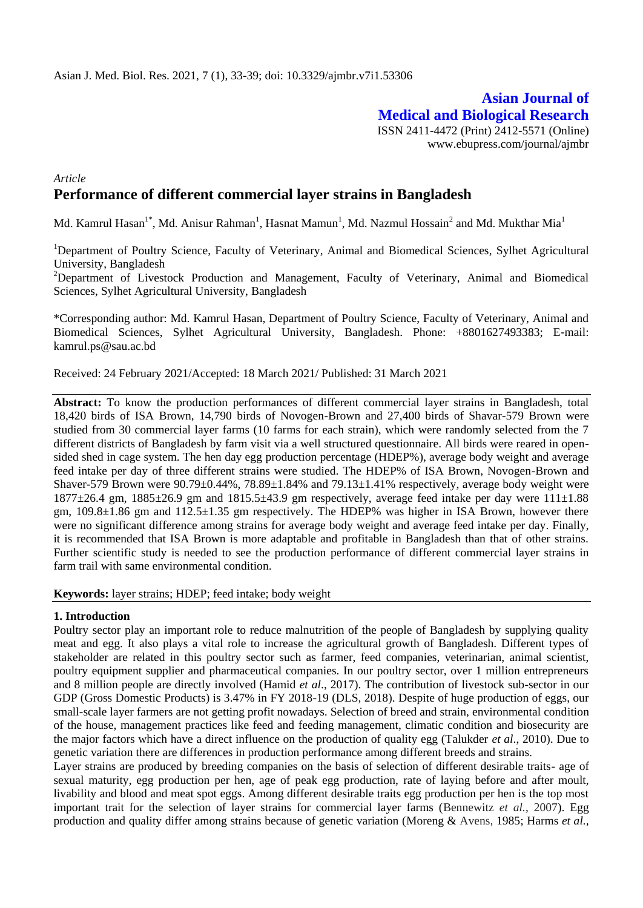# **Asian Journal of Medical and Biological Research** ISSN 2411-4472 (Print) 2412-5571 (Online)

www.ebupress.com/journal/ajmbr

# *Article* **Performance of different commercial layer strains in Bangladesh**

Md. Kamrul Hasan $^{1*}$ , Md. Anisur Rahman $^{1}$ , Hasnat Mamun $^{1}$ , Md. Nazmul Hossain $^{2}$  and Md. Mukthar Mia $^{1}$ 

<sup>1</sup>Department of Poultry Science, Faculty of Veterinary, Animal and Biomedical Sciences, Sylhet Agricultural University, Bangladesh

<sup>2</sup>Department of Livestock Production and Management, Faculty of Veterinary, Animal and Biomedical Sciences, Sylhet Agricultural University, Bangladesh

\*Corresponding author: Md. Kamrul Hasan, Department of Poultry Science, Faculty of Veterinary, Animal and Biomedical Sciences, Sylhet Agricultural University, Bangladesh. Phone: +8801627493383; E‐mail: kamrul.ps@sau.ac.bd

Received: 24 February 2021/Accepted: 18 March 2021/ Published: 31 March 2021

**Abstract:** To know the production performances of different commercial layer strains in Bangladesh, total 18,420 birds of ISA Brown, 14,790 birds of Novogen-Brown and 27,400 birds of Shavar-579 Brown were studied from 30 commercial layer farms (10 farms for each strain), which were randomly selected from the 7 different districts of Bangladesh by farm visit via a well structured questionnaire. All birds were reared in opensided shed in cage system. The hen day egg production percentage (HDEP%), average body weight and average feed intake per day of three different strains were studied. The HDEP% of ISA Brown, Novogen-Brown and Shaver-579 Brown were  $90.79\pm0.44\%$ ,  $78.89\pm1.84\%$  and  $79.13\pm1.41\%$  respectively, average body weight were  $1877\pm26.4$  gm,  $1885\pm26.9$  gm and  $1815.5\pm43.9$  gm respectively, average feed intake per day were  $111\pm1.88$ gm, 109.8±1.86 gm and 112.5±1.35 gm respectively. The HDEP% was higher in ISA Brown, however there were no significant difference among strains for average body weight and average feed intake per day. Finally, it is recommended that ISA Brown is more adaptable and profitable in Bangladesh than that of other strains. Further scientific study is needed to see the production performance of different commercial layer strains in farm trail with same environmental condition.

**Keywords:** layer strains; HDEP; feed intake; body weight

#### **1. Introduction**

Poultry sector play an important role to reduce malnutrition of the people of Bangladesh by supplying quality meat and egg. It also plays a vital role to increase the agricultural growth of Bangladesh. Different types of stakeholder are related in this poultry sector such as farmer, feed companies, veterinarian, animal scientist, poultry equipment supplier and pharmaceutical companies. In our poultry sector, over 1 million entrepreneurs and 8 million people are directly involved (Hamid *et al*., 2017). The contribution of livestock sub-sector in our GDP (Gross Domestic Products) is 3.47% in FY 2018-19 (DLS, 2018). Despite of huge production of eggs, our small-scale layer farmers are not getting profit nowadays. Selection of breed and strain, environmental condition of the house, management practices like feed and feeding management, climatic condition and biosecurity are the major factors which have a direct influence on the production of quality egg (Talukder *et al*., 2010). Due to genetic variation there are differences in production performance among different breeds and strains.

Layer strains are produced by breeding companies on the basis of selection of different desirable traits- age of sexual maturity, egg production per hen, age of peak egg production, rate of laying before and after moult, livability and blood and meat spot eggs. Among different desirable traits egg production per hen is the top most important trait for the selection of layer strains for commercial layer farms (Bennewitz *et al.*, 2007). Egg production and quality differ among strains because of genetic variation (Moreng & Avens, 1985; Harms *et al.,*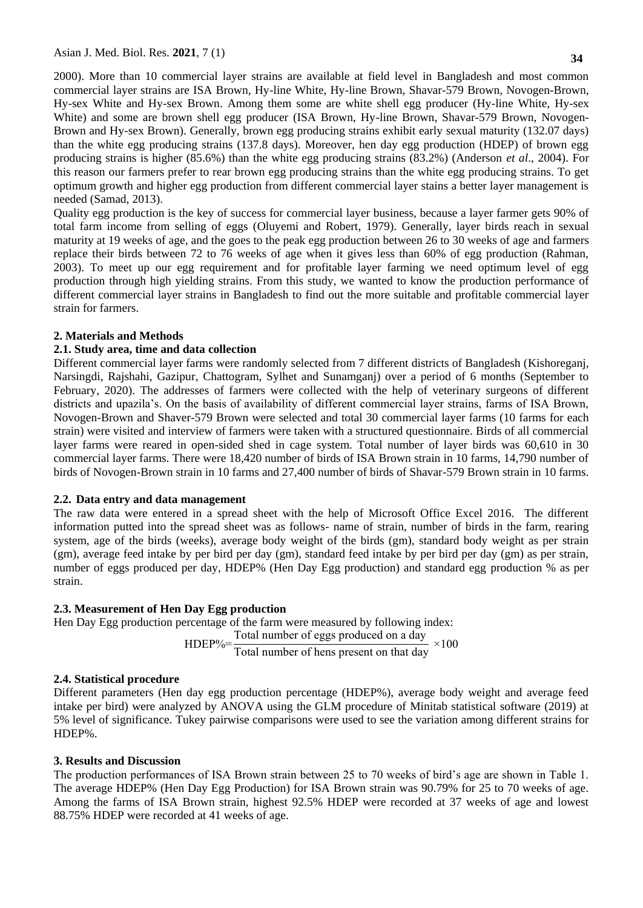Asian J. Med. Biol. Res. **2021**, 7 (1) **<sup>34</sup>**

2000). More than 10 commercial layer strains are available at field level in Bangladesh and most common commercial layer strains are ISA Brown, Hy-line White, Hy-line Brown, Shavar-579 Brown, Novogen-Brown, Hy-sex White and Hy-sex Brown. Among them some are white shell egg producer (Hy-line White, Hy-sex White) and some are brown shell egg producer (ISA Brown, Hy-line Brown, Shavar-579 Brown, Novogen-Brown and Hy-sex Brown). Generally, brown egg producing strains exhibit early sexual maturity (132.07 days) than the white egg producing strains (137.8 days). Moreover, hen day egg production (HDEP) of brown egg producing strains is higher (85.6%) than the white egg producing strains (83.2%) (Anderson *et al*., 2004). For this reason our farmers prefer to rear brown egg producing strains than the white egg producing strains. To get optimum growth and higher egg production from different commercial layer stains a better layer management is needed (Samad, 2013).

Quality egg production is the key of success for commercial layer business, because a layer farmer gets 90% of total farm income from selling of eggs (Oluyemi and Robert*,* 1979). Generally, layer birds reach in sexual maturity at 19 weeks of age, and the goes to the peak egg production between 26 to 30 weeks of age and farmers replace their birds between 72 to 76 weeks of age when it gives less than 60% of egg production (Rahman, 2003). To meet up our egg requirement and for profitable layer farming we need optimum level of egg production through high yielding strains. From this study, we wanted to know the production performance of different commercial layer strains in Bangladesh to find out the more suitable and profitable commercial layer strain for farmers.

### **2. Materials and Methods**

# **2.1. Study area, time and data collection**

Different commercial layer farms were randomly selected from 7 different districts of Bangladesh (Kishoreganj, Narsingdi, Rajshahi, Gazipur, Chattogram, Sylhet and Sunamganj) over a period of 6 months (September to February, 2020). The addresses of farmers were collected with the help of veterinary surgeons of different districts and upazila's. On the basis of availability of different commercial layer strains, farms of ISA Brown, Novogen-Brown and Shaver-579 Brown were selected and total 30 commercial layer farms (10 farms for each strain) were visited and interview of farmers were taken with a structured questionnaire. Birds of all commercial layer farms were reared in open-sided shed in cage system. Total number of layer birds was 60,610 in 30 commercial layer farms. There were 18,420 number of birds of ISA Brown strain in 10 farms, 14,790 number of birds of Novogen-Brown strain in 10 farms and 27,400 number of birds of Shavar-579 Brown strain in 10 farms.

### **2.2. Data entry and data management**

The raw data were entered in a spread sheet with the help of Microsoft Office Excel 2016. The different information putted into the spread sheet was as follows- name of strain, number of birds in the farm, rearing system, age of the birds (weeks), average body weight of the birds (gm), standard body weight as per strain (gm), average feed intake by per bird per day (gm), standard feed intake by per bird per day (gm) as per strain, number of eggs produced per day, HDEP% (Hen Day Egg production) and standard egg production % as per strain.

# **2.3. Measurement of Hen Day Egg production**

Hen Day Egg production percentage of the farm were measured by following index:

HDEP% Total number of eggs produced on a day

Total number of hens present on that day

### **2.4. Statistical procedure**

Different parameters (Hen day egg production percentage (HDEP%), average body weight and average feed intake per bird) were analyzed by ANOVA using the GLM procedure of Minitab statistical software (2019) at 5% level of significance. Tukey pairwise comparisons were used to see the variation among different strains for HDEP%.

## **3. Results and Discussion**

The production performances of ISA Brown strain between 25 to 70 weeks of bird's age are shown in Table 1. The average HDEP% (Hen Day Egg Production) for ISA Brown strain was 90.79% for 25 to 70 weeks of age. Among the farms of ISA Brown strain, highest 92.5% HDEP were recorded at 37 weeks of age and lowest 88.75% HDEP were recorded at 41 weeks of age.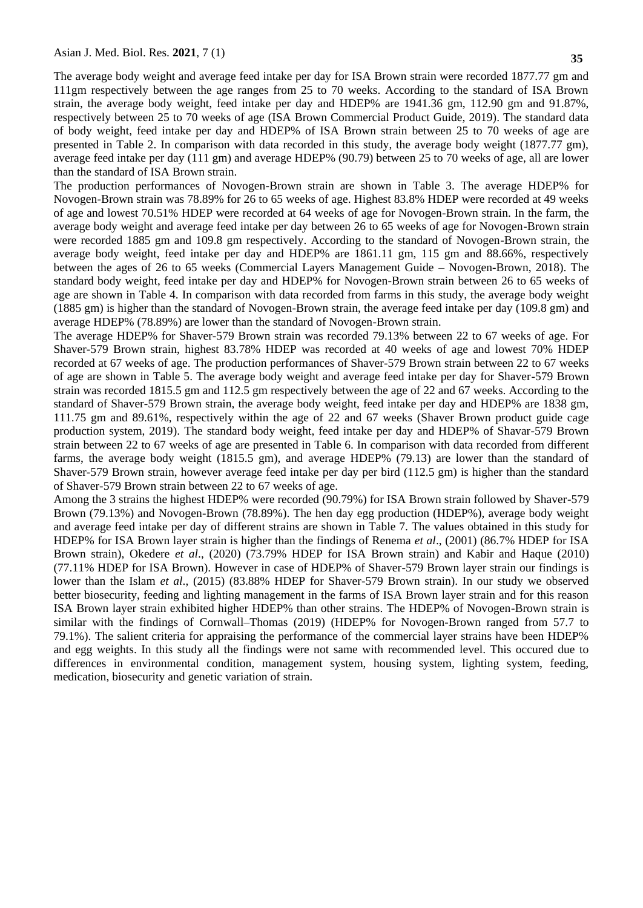The average body weight and average feed intake per day for ISA Brown strain were recorded 1877.77 gm and 111gm respectively between the age ranges from 25 to 70 weeks. According to the standard of ISA Brown strain, the average body weight, feed intake per day and HDEP% are 1941.36 gm, 112.90 gm and 91.87%, respectively between 25 to 70 weeks of age (ISA Brown Commercial Product Guide, 2019). The standard data of body weight, feed intake per day and HDEP% of ISA Brown strain between 25 to 70 weeks of age are presented in Table 2. In comparison with data recorded in this study, the average body weight (1877.77 gm), average feed intake per day (111 gm) and average HDEP% (90.79) between 25 to 70 weeks of age, all are lower than the standard of ISA Brown strain.

The production performances of Novogen-Brown strain are shown in Table 3. The average HDEP% for Novogen-Brown strain was 78.89% for 26 to 65 weeks of age. Highest 83.8% HDEP were recorded at 49 weeks of age and lowest 70.51% HDEP were recorded at 64 weeks of age for Novogen-Brown strain. In the farm, the average body weight and average feed intake per day between 26 to 65 weeks of age for Novogen-Brown strain were recorded 1885 gm and 109.8 gm respectively. According to the standard of Novogen-Brown strain, the average body weight, feed intake per day and HDEP% are 1861.11 gm, 115 gm and 88.66%, respectively between the ages of 26 to 65 weeks (Commercial Layers Management Guide – Novogen-Brown, 2018). The standard body weight, feed intake per day and HDEP% for Novogen-Brown strain between 26 to 65 weeks of age are shown in Table 4. In comparison with data recorded from farms in this study, the average body weight (1885 gm) is higher than the standard of Novogen-Brown strain, the average feed intake per day (109.8 gm) and average HDEP% (78.89%) are lower than the standard of Novogen-Brown strain.

The average HDEP% for Shaver-579 Brown strain was recorded 79.13% between 22 to 67 weeks of age. For Shaver-579 Brown strain, highest 83.78% HDEP was recorded at 40 weeks of age and lowest 70% HDEP recorded at 67 weeks of age. The production performances of Shaver-579 Brown strain between 22 to 67 weeks of age are shown in Table 5. The average body weight and average feed intake per day for Shaver-579 Brown strain was recorded 1815.5 gm and 112.5 gm respectively between the age of 22 and 67 weeks. According to the standard of Shaver-579 Brown strain, the average body weight, feed intake per day and HDEP% are 1838 gm, 111.75 gm and 89.61%, respectively within the age of 22 and 67 weeks (Shaver Brown product guide cage production system, 2019). The standard body weight, feed intake per day and HDEP% of Shavar-579 Brown strain between 22 to 67 weeks of age are presented in Table 6. In comparison with data recorded from different farms, the average body weight (1815.5 gm), and average HDEP% (79.13) are lower than the standard of Shaver-579 Brown strain, however average feed intake per day per bird (112.5 gm) is higher than the standard of Shaver-579 Brown strain between 22 to 67 weeks of age.

Among the 3 strains the highest HDEP% were recorded (90.79%) for ISA Brown strain followed by Shaver-579 Brown (79.13%) and Novogen-Brown (78.89%). The hen day egg production (HDEP%), average body weight and average feed intake per day of different strains are shown in Table 7. The values obtained in this study for HDEP% for ISA Brown layer strain is higher than the findings of Renema *et al*., (2001) (86.7% HDEP for ISA Brown strain), Okedere *et al*., (2020) (73.79% HDEP for ISA Brown strain) and Kabir and Haque (2010) (77.11% HDEP for ISA Brown). However in case of HDEP% of Shaver-579 Brown layer strain our findings is lower than the Islam *et al*., (2015) (83.88% HDEP for Shaver-579 Brown strain). In our study we observed better biosecurity, feeding and lighting management in the farms of ISA Brown layer strain and for this reason ISA Brown layer strain exhibited higher HDEP% than other strains. The HDEP% of Novogen-Brown strain is similar with the findings of Cornwall–Thomas (2019) (HDEP% for Novogen-Brown ranged from 57.7 to 79.1%). The salient criteria for appraising the performance of the commercial layer strains have been HDEP% and egg weights. In this study all the findings were not same with recommended level. This occured due to differences in environmental condition, management system, housing system, lighting system, feeding, medication, biosecurity and genetic variation of strain.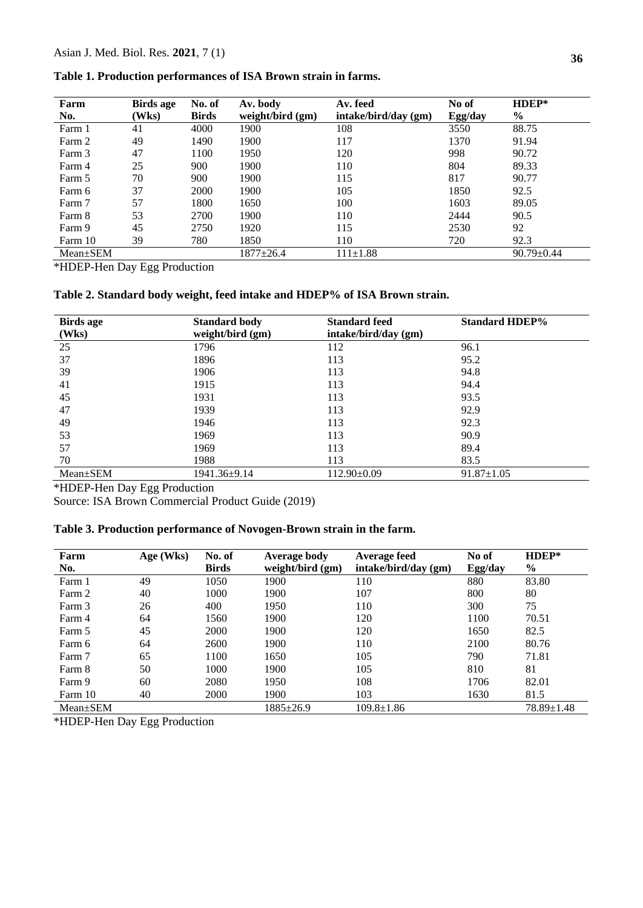| Table 1. Production performances of ISA Brown strain in farms. |  |  |  |  |  |  |
|----------------------------------------------------------------|--|--|--|--|--|--|
|----------------------------------------------------------------|--|--|--|--|--|--|

| Farm           | <b>Birds age</b> | No. of       | Av. body         | Av. feed             | No of   | HDEP*            |
|----------------|------------------|--------------|------------------|----------------------|---------|------------------|
| No.            | (Wks)            | <b>Birds</b> | weight/bird (gm) | intake/bird/day (gm) | Egg/day | $\%$             |
| Farm 1         | 41               | 4000         | 1900             | 108                  | 3550    | 88.75            |
| Farm 2         | 49               | 1490         | 1900             | 117                  | 1370    | 91.94            |
| Farm 3         | 47               | 1100         | 1950             | 120                  | 998     | 90.72            |
| Farm 4         | 25               | 900          | 1900             | 110                  | 804     | 89.33            |
| Farm 5         | 70               | 900          | 1900             | 115                  | 817     | 90.77            |
| Farm 6         | 37               | 2000         | 1900             | 105                  | 1850    | 92.5             |
| Farm 7         | 57               | 1800         | 1650             | 100                  | 1603    | 89.05            |
| Farm 8         | 53               | 2700         | 1900             | 110                  | 2444    | 90.5             |
| Farm 9         | 45               | 2750         | 1920             | 115                  | 2530    | 92               |
| Farm 10        | 39               | 780          | 1850             | 110                  | 720     | 92.3             |
| $Mean \pm SEM$ |                  |              | $1877 + 26.4$    | $111 \pm 1.88$       |         | $90.79 \pm 0.44$ |

\*HDEP-Hen Day Egg Production

**Table 2. Standard body weight, feed intake and HDEP% of ISA Brown strain.**

| <b>Birds</b> age<br>(Wks) | <b>Standard body</b><br>weight/bird (gm) | <b>Standard feed</b><br>intake/bird/day (gm) | <b>Standard HDEP%</b> |
|---------------------------|------------------------------------------|----------------------------------------------|-----------------------|
| 25                        | 1796                                     | 112                                          | 96.1                  |
| 37                        | 1896                                     | 113                                          | 95.2                  |
| 39                        | 1906                                     | 113                                          | 94.8                  |
| 41                        | 1915                                     | 113                                          | 94.4                  |
| 45                        | 1931                                     | 113                                          | 93.5                  |
| 47                        | 1939                                     | 113                                          | 92.9                  |
| 49                        | 1946                                     | 113                                          | 92.3                  |
| 53                        | 1969                                     | 113                                          | 90.9                  |
| 57                        | 1969                                     | 113                                          | 89.4                  |
| 70                        | 1988                                     | 113                                          | 83.5                  |
| Mean±SEM                  | 1941.36±9.14                             | $112.90 \pm 0.09$                            | $91.87 \pm 1.05$      |

\*HDEP-Hen Day Egg Production

Source: ISA Brown Commercial Product Guide (2019)

# **Table 3. Production performance of Novogen-Brown strain in the farm.**

| Farm           | Age (Wks) | No. of       | <b>Average body</b> | <b>Average feed</b>  | No of   | $H$ DEP*         |
|----------------|-----------|--------------|---------------------|----------------------|---------|------------------|
| No.            |           | <b>Birds</b> | weight/bird (gm)    | intake/bird/day (gm) | Egg/day | $\frac{0}{0}$    |
| Farm 1         | 49        | 1050         | 1900                | 110                  | 880     | 83.80            |
| Farm 2         | 40        | 1000         | 1900                | 107                  | 800     | 80               |
| Farm 3         | 26        | 400          | 1950                | 110                  | 300     | 75               |
| Farm 4         | 64        | 1560         | 1900                | 120                  | 1100    | 70.51            |
| Farm 5         | 45        | 2000         | 1900                | 120                  | 1650    | 82.5             |
| Farm 6         | 64        | 2600         | 1900                | 110                  | 2100    | 80.76            |
| Farm 7         | 65        | 1100         | 1650                | 105                  | 790     | 71.81            |
| Farm 8         | 50        | 1000         | 1900                | 105                  | 810     | 81               |
| Farm 9         | 60        | 2080         | 1950                | 108                  | 1706    | 82.01            |
| Farm 10        | 40        | 2000         | 1900                | 103                  | 1630    | 81.5             |
| $Mean \pm SEM$ |           |              | 1885±26.9           | $109.8 \pm 1.86$     |         | $78.89 \pm 1.48$ |

\*HDEP-Hen Day Egg Production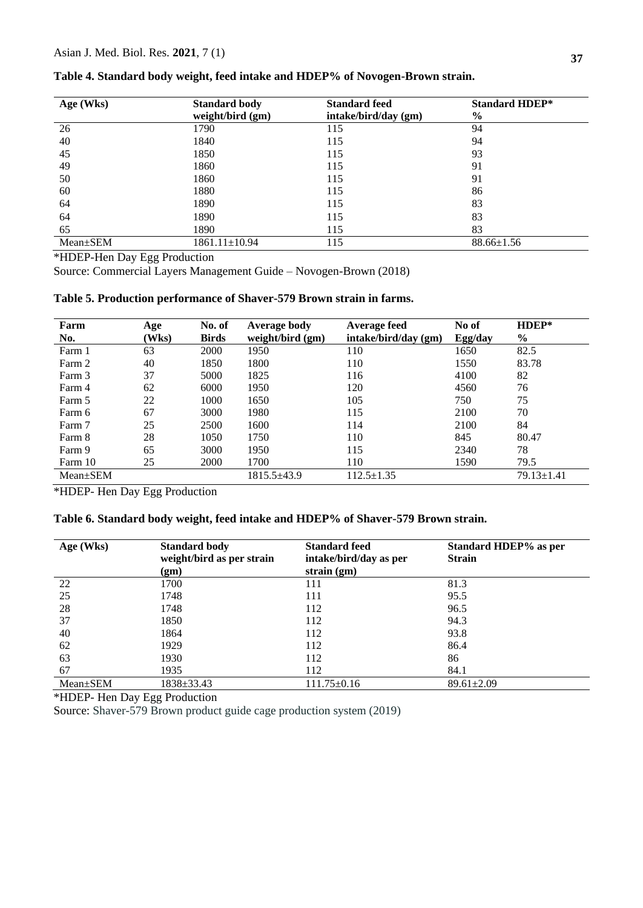| Age (Wks) | <b>Standard body</b> | <b>Standard feed</b> | <b>Standard HDEP*</b> |
|-----------|----------------------|----------------------|-----------------------|
|           | weight/bird (gm)     | intake/bird/day (gm) | $\frac{0}{0}$         |
| 26        | 1790                 | 115                  | 94                    |
| 40        | 1840                 | 115                  | 94                    |
| 45        | 1850                 | 115                  | 93                    |
| 49        | 1860                 | 115                  | 91                    |
| 50        | 1860                 | 115                  | 91                    |
| 60        | 1880                 | 115                  | 86                    |
| 64        | 1890                 | 115                  | 83                    |
| 64        | 1890                 | 115                  | 83                    |
| 65        | 1890                 | 115                  | 83                    |
| Mean±SEM  | 1861.11±10.94        | 115                  | $88.66 \pm 1.56$      |

#### **Table 4. Standard body weight, feed intake and HDEP% of Novogen-Brown strain.**

\*HDEP-Hen Day Egg Production

Source: Commercial Layers Management Guide – Novogen-Brown (2018)

# **Table 5. Production performance of Shaver-579 Brown strain in farms.**

| Farm           | Age   | No. of       | <b>Average body</b> | Average feed         | No of   | HDEP*            |
|----------------|-------|--------------|---------------------|----------------------|---------|------------------|
| No.            | (Wks) | <b>Birds</b> | weight/bird $(gm)$  | intake/bird/day (gm) | Egg/day | $\%$             |
| Farm 1         | 63    | 2000         | 1950                | 110                  | 1650    | 82.5             |
| Farm 2         | 40    | 1850         | 1800                | 110                  | 1550    | 83.78            |
| Farm 3         | 37    | 5000         | 1825                | 116                  | 4100    | 82               |
| Farm 4         | 62    | 6000         | 1950                | 120                  | 4560    | 76               |
| Farm 5         | 22    | 1000         | 1650                | 105                  | 750     | 75               |
| Farm 6         | 67    | 3000         | 1980                | 115                  | 2100    | 70               |
| Farm 7         | 25    | 2500         | 1600                | 114                  | 2100    | 84               |
| Farm 8         | 28    | 1050         | 1750                | 110                  | 845     | 80.47            |
| Farm 9         | 65    | 3000         | 1950                | 115                  | 2340    | 78               |
| Farm 10        | 25    | <b>2000</b>  | 1700                | 110                  | 1590    | 79.5             |
| $Mean \pm SEM$ |       |              | $1815.5 \pm 43.9$   | $112.5 \pm 1.35$     |         | $79.13 \pm 1.41$ |

\*HDEP- Hen Day Egg Production

# **Table 6. Standard body weight, feed intake and HDEP% of Shaver-579 Brown strain.**

| Age (Wks)      | <b>Standard body</b><br>weight/bird as per strain<br>(gm) | <b>Standard feed</b><br>intake/bird/day as per<br>strain $(gm)$ | Standard HDEP% as per<br><b>Strain</b> |
|----------------|-----------------------------------------------------------|-----------------------------------------------------------------|----------------------------------------|
| 22             | 1700                                                      | 111                                                             | 81.3                                   |
| 25             | 1748                                                      | 111                                                             | 95.5                                   |
| 28             | 1748                                                      | 112                                                             | 96.5                                   |
| 37             | 1850                                                      | 112                                                             | 94.3                                   |
| 40             | 1864                                                      | 112                                                             | 93.8                                   |
| 62             | 1929                                                      | 112                                                             | 86.4                                   |
| 63             | 1930                                                      | 112                                                             | 86                                     |
| 67             | 1935                                                      | 112                                                             | 84.1                                   |
| $Mean \pm SEM$ | 1838±33.43                                                | 111.75±0.16                                                     | $89.61 \pm 2.09$                       |

\*HDEP- Hen Day Egg Production

Source: Shaver-579 Brown product guide cage production system (2019)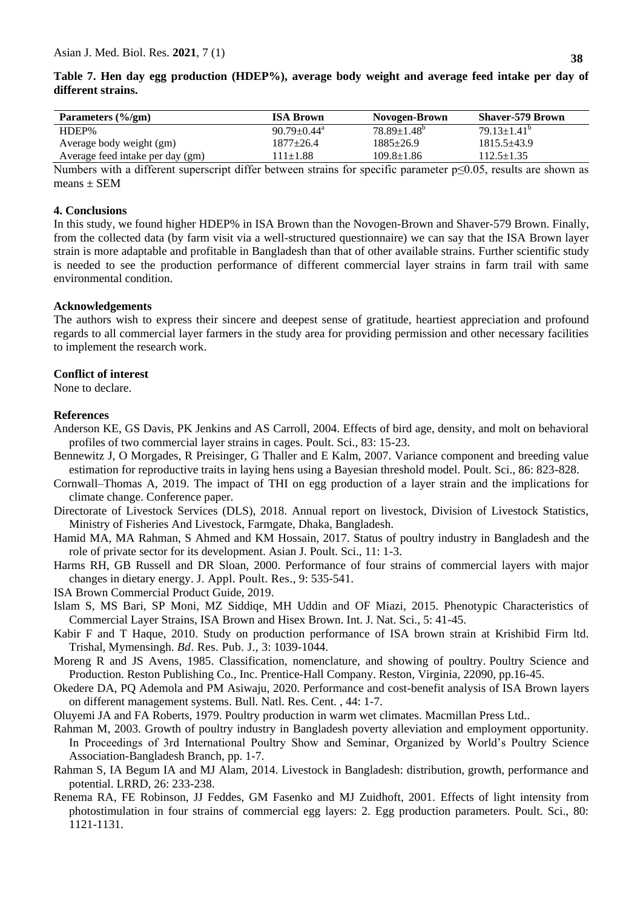**Table 7. Hen day egg production (HDEP%), average body weight and average feed intake per day of different strains.** 

| Parameters (%/gm)                | <b>ISA Brown</b>              | Novogen-Brown      | <b>Shaver-579 Brown</b> |
|----------------------------------|-------------------------------|--------------------|-------------------------|
| HDEP%                            | $90.79 \pm 0.44$ <sup>a</sup> | $78.89 \pm 1.48^b$ | $79.13 \pm 1.41^b$      |
| Average body weight (gm)         | 1877+26.4                     | 1885+26.9          | $1815.5 + 43.9$         |
| Average feed intake per day (gm) | $11\pm1.88$                   | $109.8 \pm 1.86$   | 112.5±1.35              |
| __ _ _ _ _                       | $\sim$                        | $\sim$ $\sim$      | - - - - - -             |

Numbers with a different superscript differ between strains for specific parameter  $p\leq 0.05$ , results are shown as means  $\pm$  SEM

#### **4. Conclusions**

In this study, we found higher HDEP% in ISA Brown than the Novogen-Brown and Shaver-579 Brown. Finally, from the collected data (by farm visit via a well-structured questionnaire) we can say that the ISA Brown layer strain is more adaptable and profitable in Bangladesh than that of other available strains. Further scientific study is needed to see the production performance of different commercial layer strains in farm trail with same environmental condition.

#### **Acknowledgements**

The authors wish to express their sincere and deepest sense of gratitude, heartiest appreciation and profound regards to all commercial layer farmers in the study area for providing permission and other necessary facilities to implement the research work.

#### **Conflict of interest**

None to declare.

#### **References**

- Anderson KE, GS Davis, PK Jenkins and AS Carroll, 2004. Effects of bird age, density, and molt on behavioral profiles of two commercial layer strains in cages. Poult. Sci., 83: 15-23.
- Bennewitz J, O Morgades, R Preisinger, G Thaller and E Kalm, 2007. Variance component and breeding value estimation for reproductive traits in laying hens using a Bayesian threshold model. Poult. Sci., 86: 823-828.
- Cornwall–Thomas A, 2019. The impact of THI on egg production of a layer strain and the implications for climate change. Conference paper.
- Directorate of Livestock Services (DLS), 2018. Annual report on livestock, Division of Livestock Statistics, Ministry of Fisheries And Livestock, Farmgate, Dhaka, Bangladesh.
- Hamid MA, MA Rahman, S Ahmed and KM Hossain, 2017. Status of poultry industry in Bangladesh and the role of private sector for its development. Asian J. Poult. Sci., 11: 1-3.
- Harms RH, GB Russell and DR Sloan, 2000. Performance of four strains of commercial layers with major changes in dietary energy. J. Appl. Poult. Res., 9: 535-541.
- ISA Brown Commercial Product Guide, 2019.
- Islam S, MS Bari, SP Moni, MZ Siddiqe, MH Uddin and OF Miazi, 2015. Phenotypic Characteristics of Commercial Layer Strains, ISA Brown and Hisex Brown. Int. J. Nat. Sci., 5: 41-45.
- Kabir F and T Haque, 2010. Study on production performance of ISA brown strain at Krishibid Firm ltd. Trishal, Mymensingh. *Bd*. Res. Pub. J., 3: 1039-1044.
- Moreng R and JS Avens, 1985. Classification, nomenclature, and showing of poultry. Poultry Science and Production. Reston Publishing Co., Inc. Prentice-Hall Company. Reston, Virginia, 22090, pp.16-45.
- Okedere DA, PQ Ademola and PM Asiwaju, 2020. Performance and cost-benefit analysis of ISA Brown layers on different management systems. Bull. Natl. Res. Cent. , 44: 1-7.
- Oluyemi JA and FA Roberts, 1979. Poultry production in warm wet climates. Macmillan Press Ltd..
- Rahman M, 2003. Growth of poultry industry in Bangladesh poverty alleviation and employment opportunity. In Proceedings of 3rd International Poultry Show and Seminar, Organized by World's Poultry Science Association-Bangladesh Branch, pp. 1-7.
- Rahman S, IA Begum IA and MJ Alam, 2014. Livestock in Bangladesh: distribution, growth, performance and potential. LRRD, 26: 233-238.
- Renema RA, FE Robinson, JJ Feddes, GM Fasenko and MJ Zuidhoft, 2001. Effects of light intensity from photostimulation in four strains of commercial egg layers: 2. Egg production parameters. Poult. Sci., 80: 1121-1131.